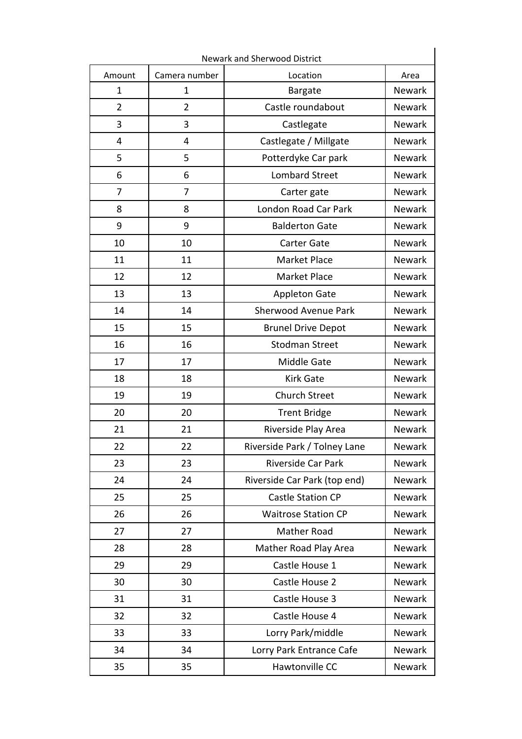| Amount         | Camera number  | Location                     | Area          |
|----------------|----------------|------------------------------|---------------|
| $\mathbf{1}$   | $\mathbf{1}$   | <b>Bargate</b>               | Newark        |
| $\overline{2}$ | $\overline{2}$ | Castle roundabout            | <b>Newark</b> |
| 3              | 3              | Castlegate                   | Newark        |
| 4              | 4              | Castlegate / Millgate        | <b>Newark</b> |
| 5              | 5              | Potterdyke Car park          | <b>Newark</b> |
| 6              | 6              | <b>Lombard Street</b>        | Newark        |
| $\overline{7}$ | $\overline{7}$ | Carter gate                  | <b>Newark</b> |
| 8              | 8              | London Road Car Park         | Newark        |
| 9              | 9              | <b>Balderton Gate</b>        | <b>Newark</b> |
| 10             | 10             | <b>Carter Gate</b>           | <b>Newark</b> |
| 11             | 11             | Market Place                 | <b>Newark</b> |
| 12             | 12             | Market Place                 | <b>Newark</b> |
| 13             | 13             | <b>Appleton Gate</b>         | Newark        |
| 14             | 14             | Sherwood Avenue Park         | <b>Newark</b> |
| 15             | 15             | <b>Brunel Drive Depot</b>    | Newark        |
| 16             | 16             | <b>Stodman Street</b>        | <b>Newark</b> |
| 17             | 17             | Middle Gate                  | Newark        |
| 18             | 18             | <b>Kirk Gate</b>             | <b>Newark</b> |
| 19             | 19             | <b>Church Street</b>         | Newark        |
| 20             | 20             | <b>Trent Bridge</b>          | Newark        |
| 21             | 21             | Riverside Play Area          | <b>Newark</b> |
| 22             | 22             | Riverside Park / Tolney Lane | Newark        |
| 23             | 23             | Riverside Car Park           | Newark        |
| 24             | 24             | Riverside Car Park (top end) | Newark        |
| 25             | 25             | <b>Castle Station CP</b>     | Newark        |
| 26             | 26             | <b>Waitrose Station CP</b>   | <b>Newark</b> |
| 27             | 27             | <b>Mather Road</b>           | Newark        |
| 28             | 28             | Mather Road Play Area        | Newark        |
| 29             | 29             | Castle House 1               | Newark        |
| 30             | 30             | Castle House 2               | Newark        |
| 31             | 31             | Castle House 3               | Newark        |
| 32             | 32             | Castle House 4               | Newark        |
| 33             | 33             | Lorry Park/middle            | Newark        |
| 34             | 34             | Lorry Park Entrance Cafe     | Newark        |
| 35             | 35             | Hawtonville CC               | Newark        |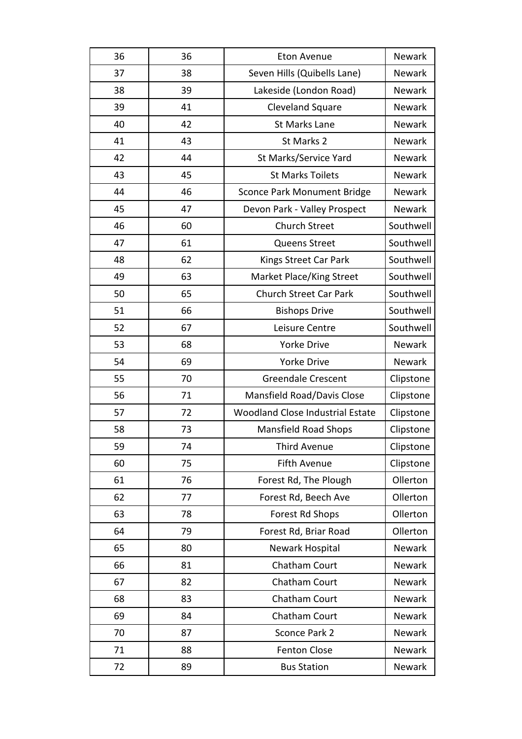| 36 | 36 | <b>Eton Avenue</b>                      | <b>Newark</b> |
|----|----|-----------------------------------------|---------------|
| 37 | 38 | Seven Hills (Quibells Lane)             | <b>Newark</b> |
| 38 | 39 | Lakeside (London Road)                  | Newark        |
| 39 | 41 | <b>Cleveland Square</b>                 | Newark        |
| 40 | 42 | <b>St Marks Lane</b>                    | Newark        |
| 41 | 43 | St Marks 2                              | <b>Newark</b> |
| 42 | 44 | St Marks/Service Yard                   | <b>Newark</b> |
| 43 | 45 | <b>St Marks Toilets</b>                 | Newark        |
| 44 | 46 | <b>Sconce Park Monument Bridge</b>      | Newark        |
| 45 | 47 | Devon Park - Valley Prospect            | <b>Newark</b> |
| 46 | 60 | <b>Church Street</b>                    | Southwell     |
| 47 | 61 | <b>Queens Street</b>                    | Southwell     |
| 48 | 62 | Kings Street Car Park                   | Southwell     |
| 49 | 63 | Market Place/King Street                | Southwell     |
| 50 | 65 | <b>Church Street Car Park</b>           | Southwell     |
| 51 | 66 | <b>Bishops Drive</b>                    | Southwell     |
| 52 | 67 | Leisure Centre                          | Southwell     |
| 53 | 68 | <b>Yorke Drive</b>                      | Newark        |
| 54 | 69 | <b>Yorke Drive</b>                      | <b>Newark</b> |
| 55 | 70 | <b>Greendale Crescent</b>               | Clipstone     |
| 56 | 71 | Mansfield Road/Davis Close              | Clipstone     |
| 57 | 72 | <b>Woodland Close Industrial Estate</b> | Clipstone     |
| 58 | 73 | <b>Mansfield Road Shops</b>             | Clipstone     |
| 59 | 74 | <b>Third Avenue</b>                     | Clipstone     |
| 60 | 75 | <b>Fifth Avenue</b>                     | Clipstone     |
| 61 | 76 | Forest Rd, The Plough                   | Ollerton      |
| 62 | 77 | Forest Rd, Beech Ave                    | Ollerton      |
| 63 | 78 | Forest Rd Shops                         | Ollerton      |
| 64 | 79 | Forest Rd, Briar Road                   | Ollerton      |
| 65 | 80 | Newark Hospital                         | Newark        |
| 66 | 81 | Chatham Court                           | Newark        |
| 67 | 82 | Chatham Court                           | Newark        |
| 68 | 83 | Chatham Court                           | Newark        |
| 69 | 84 | Chatham Court                           | Newark        |
| 70 | 87 | Sconce Park 2                           | Newark        |
| 71 | 88 | <b>Fenton Close</b>                     | Newark        |
| 72 | 89 | <b>Bus Station</b>                      | Newark        |